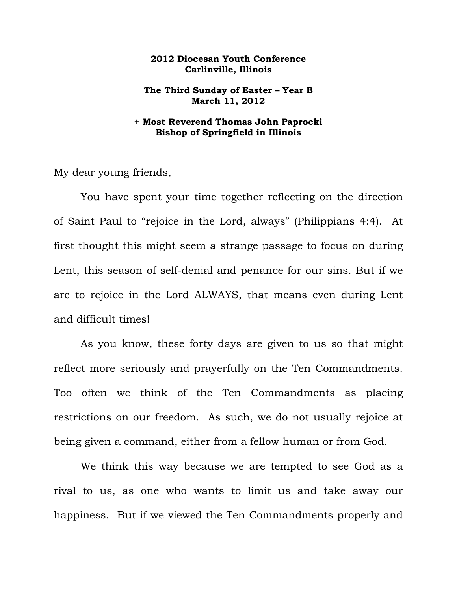## **2012 Diocesan Youth Conference Carlinville, Illinois**

## **The Third Sunday of Easter – Year B March 11, 2012**

## **+ Most Reverend Thomas John Paprocki Bishop of Springfield in Illinois**

My dear young friends,

 You have spent your time together reflecting on the direction of Saint Paul to "rejoice in the Lord, always" (Philippians 4:4). At first thought this might seem a strange passage to focus on during Lent, this season of self-denial and penance for our sins. But if we are to rejoice in the Lord ALWAYS, that means even during Lent and difficult times!

 As you know, these forty days are given to us so that might reflect more seriously and prayerfully on the Ten Commandments. Too often we think of the Ten Commandments as placing restrictions on our freedom. As such, we do not usually rejoice at being given a command, either from a fellow human or from God.

We think this way because we are tempted to see God as a rival to us, as one who wants to limit us and take away our happiness. But if we viewed the Ten Commandments properly and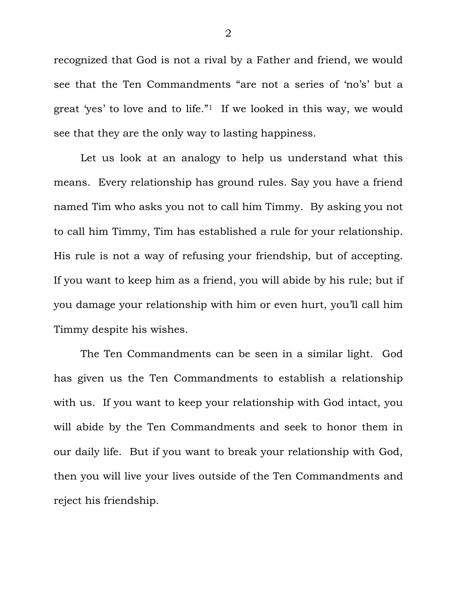recognized that God is not a rival by a Father and friend, we would see that the Ten Commandments "are not a series of 'no's' but a great 'yes' to love and to life."1 If we looked in this way, we would see that they are the only way to lasting happiness.

 Let us look at an analogy to help us understand what this means. Every relationship has ground rules. Say you have a friend named Tim who asks you not to call him Timmy. By asking you not to call him Timmy, Tim has established a rule for your relationship. His rule is not a way of refusing your friendship, but of accepting. If you want to keep him as a friend, you will abide by his rule; but if you damage your relationship with him or even hurt, you'll call him Timmy despite his wishes.

 The Ten Commandments can be seen in a similar light. God has given us the Ten Commandments to establish a relationship with us. If you want to keep your relationship with God intact, you will abide by the Ten Commandments and seek to honor them in our daily life. But if you want to break your relationship with God, then you will live your lives outside of the Ten Commandments and reject his friendship.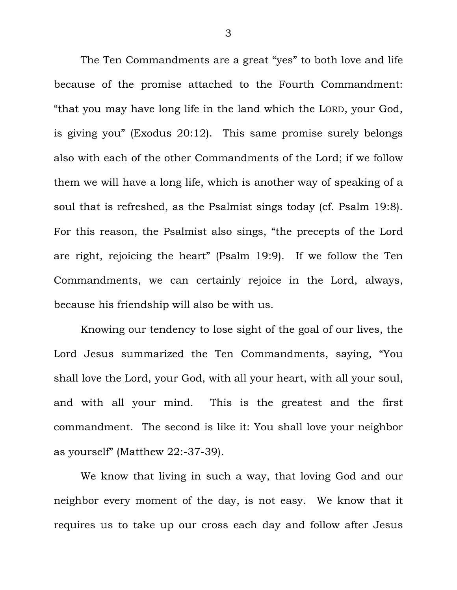The Ten Commandments are a great "yes" to both love and life because of the promise attached to the Fourth Commandment: "that you may have long life in the land which the LORD, your God, is giving you" (Exodus 20:12). This same promise surely belongs also with each of the other Commandments of the Lord; if we follow them we will have a long life, which is another way of speaking of a soul that is refreshed, as the Psalmist sings today (cf. Psalm 19:8). For this reason, the Psalmist also sings, "the precepts of the Lord are right, rejoicing the heart" (Psalm 19:9). If we follow the Ten Commandments, we can certainly rejoice in the Lord, always, because his friendship will also be with us.

 Knowing our tendency to lose sight of the goal of our lives, the Lord Jesus summarized the Ten Commandments, saying, "You shall love the Lord, your God, with all your heart, with all your soul, and with all your mind. This is the greatest and the first commandment. The second is like it: You shall love your neighbor as yourself" (Matthew 22:-37-39).

 We know that living in such a way, that loving God and our neighbor every moment of the day, is not easy. We know that it requires us to take up our cross each day and follow after Jesus

3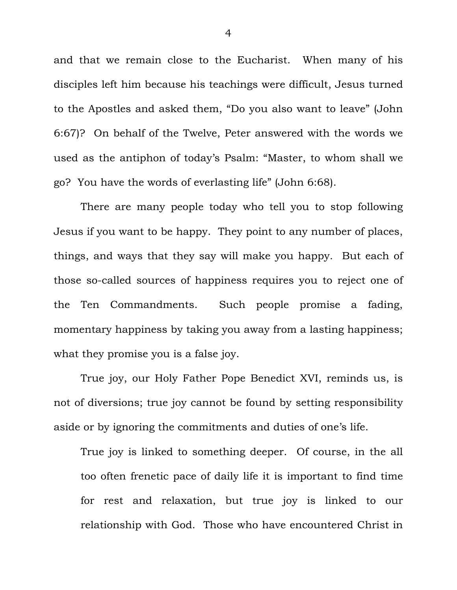and that we remain close to the Eucharist. When many of his disciples left him because his teachings were difficult, Jesus turned to the Apostles and asked them, "Do you also want to leave" (John 6:67)? On behalf of the Twelve, Peter answered with the words we used as the antiphon of today's Psalm: "Master, to whom shall we go? You have the words of everlasting life" (John 6:68).

 There are many people today who tell you to stop following Jesus if you want to be happy. They point to any number of places, things, and ways that they say will make you happy. But each of those so-called sources of happiness requires you to reject one of the Ten Commandments. Such people promise a fading, momentary happiness by taking you away from a lasting happiness; what they promise you is a false joy.

 True joy, our Holy Father Pope Benedict XVI, reminds us, is not of diversions; true joy cannot be found by setting responsibility aside or by ignoring the commitments and duties of one's life.

True joy is linked to something deeper. Of course, in the all too often frenetic pace of daily life it is important to find time for rest and relaxation, but true joy is linked to our relationship with God. Those who have encountered Christ in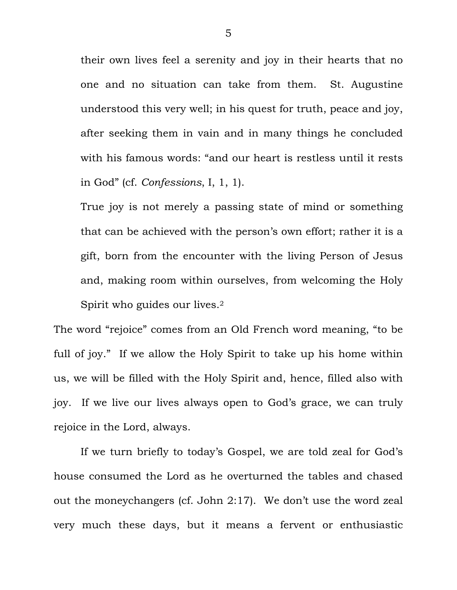their own lives feel a serenity and joy in their hearts that no one and no situation can take from them. St. Augustine understood this very well; in his quest for truth, peace and joy, after seeking them in vain and in many things he concluded with his famous words: "and our heart is restless until it rests in God" (cf. *Confessions*, I, 1, 1).

True joy is not merely a passing state of mind or something that can be achieved with the person's own effort; rather it is a gift, born from the encounter with the living Person of Jesus and, making room within ourselves, from welcoming the Holy Spirit who guides our lives.2

The word "rejoice" comes from an Old French word meaning, "to be full of joy." If we allow the Holy Spirit to take up his home within us, we will be filled with the Holy Spirit and, hence, filled also with joy. If we live our lives always open to God's grace, we can truly rejoice in the Lord, always.

 If we turn briefly to today's Gospel, we are told zeal for God's house consumed the Lord as he overturned the tables and chased out the moneychangers (cf. John 2:17). We don't use the word zeal very much these days, but it means a fervent or enthusiastic